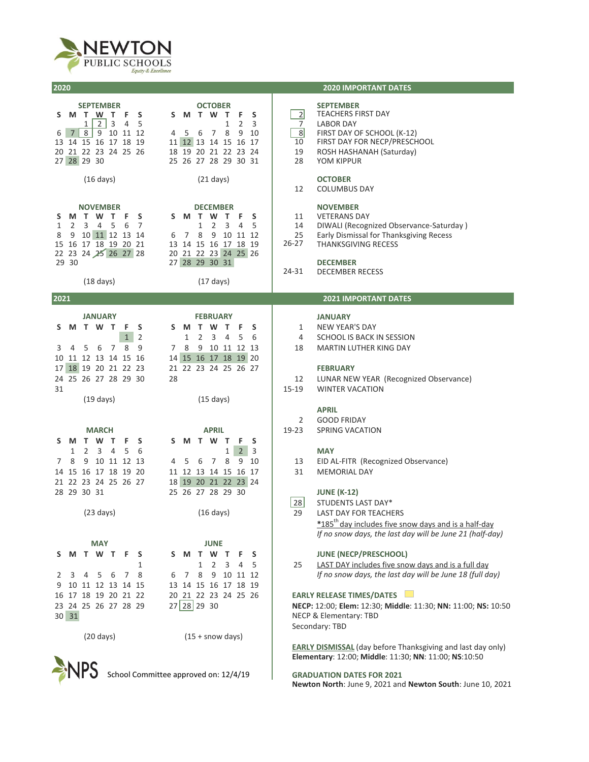

**2020**

| 2020                                                                                                                                                                                                                                                                                                                                                                     | <b>2020 IMPORTANT DATES</b>                                                                                                                                                                                      |
|--------------------------------------------------------------------------------------------------------------------------------------------------------------------------------------------------------------------------------------------------------------------------------------------------------------------------------------------------------------------------|------------------------------------------------------------------------------------------------------------------------------------------------------------------------------------------------------------------|
| <b>SEPTEMBER</b><br><b>OCTOBER</b><br>S<br>S<br>M<br>T W T<br>F<br>S M T W T<br>F<br>S.<br>3<br>$\mathbf{2}$<br>4<br>5<br>2<br>1<br>1<br>3<br>8 9 10 11 12<br>6<br>8<br>9<br>7 <sup>1</sup><br>- 5<br>$7^{\circ}$<br>10<br>4<br>6<br>13 14 15 16 17 18 19<br>11 12 13 14 15 16 17<br>20 21 22 23 24 25 26<br>18 19 20 21 22 23 24<br>27 28 29 30<br>25 26 27 28 29 30 31 | <b>SEPTEMBER</b><br>$\overline{2}$<br><b>TEACHERS FIRST DAY</b><br>7<br>LABOR DAY<br>8<br>FIRST DAY OF SCHOOL (K-12)<br>FIRST DAY FOR NECP/PRESCHOOL<br>10<br>19<br>ROSH HASHANAH (Saturday)<br>28<br>YOM KIPPUR |
| $(16 \text{ days})$<br>$(21 \text{ days})$                                                                                                                                                                                                                                                                                                                               | <b>OCTOBER</b><br>12<br><b>COLUMBUS DAY</b>                                                                                                                                                                      |
| <b>NOVEMBER</b><br><b>DECEMBER</b><br><b>MTWTF</b><br>S<br>S M T<br>W T<br>F.<br>S<br>S<br>5<br>1<br>2<br>3<br>$\overline{4}$<br>6<br>7<br>1<br>2<br>3<br>4<br>5<br>9 10 11 12 13 14<br>7 8<br>9 10 11 12<br>8<br>6<br>15 16 17 18 19 20 21<br>13 14 15 16 17 18 19<br>22 23 24 25 26 27 28<br>20 21 22 23 24 25 26                                                      | <b>NOVEMBER</b><br><b>VETERANS DAY</b><br>11<br>14<br>DIWALI (Recognized Observance-Saturday)<br>25<br>Early Dismissal for Thanksgiving Recess<br>26-27<br>THANKSGIVING RECESS                                   |
| 29 30<br>27 28 29 30 31<br>$(18 \text{ days})$<br>$(17 \text{ days})$                                                                                                                                                                                                                                                                                                    | <b>DECEMBER</b><br>24-31<br><b>DECEMBER RECESS</b>                                                                                                                                                               |
| 2021                                                                                                                                                                                                                                                                                                                                                                     | <b>2021 IMPORTANT DATES</b>                                                                                                                                                                                      |
| <b>JANUARY</b><br><b>FEBRUARY</b><br>F.<br>S<br>S M T W T<br>M T W T<br>- F<br>S<br>S<br>$\mathbf{1}$<br>2<br>2<br>1<br>3<br>4<br>5<br>6                                                                                                                                                                                                                                 | <b>JANUARY</b><br><b>NEW YEAR'S DAY</b><br>1<br>4<br>SCHOOL IS BACK IN SESSION                                                                                                                                   |
| 8<br>7 8<br>9 10 11 12 13<br>5<br>6<br>7<br>9<br>3<br>4<br>14 15 16 17 18 19 20<br>10 11 12 13 14 15 16<br>17 18 19 20 21 22 23<br>21 22 23 24 25 26 27                                                                                                                                                                                                                  | 18<br>MARTIN LUTHER KING DAY<br><b>FEBRUARY</b>                                                                                                                                                                  |
| 24 25 26 27 28 29 30<br>28<br>31<br>$(15 \text{ days})$<br>$(19 \text{ days})$                                                                                                                                                                                                                                                                                           | 12<br>LUNAR NEW YEAR (Recognized Observance)<br>15-19<br><b>WINTER VACATION</b>                                                                                                                                  |
| <b>MARCH</b><br><b>APRIL</b>                                                                                                                                                                                                                                                                                                                                             | <b>APRIL</b><br>2<br><b>GOOD FRIDAY</b><br>19-23<br><b>SPRING VACATION</b>                                                                                                                                       |
| T W<br>T W T<br>F.<br><b>S</b><br>M<br>т<br>M<br>s<br>F.<br>S<br>S.<br>$1\,$<br>2 <sup>1</sup><br>$\overline{2}$<br>3<br>$\overline{4}$<br>5<br>3<br>1<br>- 6<br>8<br>8<br>9 10 11 12 13<br>9<br>10<br>5<br>6<br>7<br>7                                                                                                                                                  | <b>MAY</b><br>13                                                                                                                                                                                                 |
| 4<br>14 15 16 17 18 19 20<br>11 12 13 14 15 16 17<br>18  19  20  21  22  23  24<br>21 22 23 24 25 26 27                                                                                                                                                                                                                                                                  | EID AL-FITR (Recognized Observance)<br>31<br><b>MEMORIAL DAY</b>                                                                                                                                                 |
| 28 29 30 31<br>25 26 27 28 29 30<br>$(23 \text{ days})$<br>$(16 \text{ days})$                                                                                                                                                                                                                                                                                           | <b>JUNE (K-12)</b><br>28<br>STUDENTS LAST DAY*<br>29<br>LAST DAY FOR TEACHERS                                                                                                                                    |
|                                                                                                                                                                                                                                                                                                                                                                          | *185 <sup>th</sup> day includes five snow days and is a half-day<br>If no snow days, the last day will be June 21 (half-day)                                                                                     |
| <b>MAY</b><br><b>JUNE</b><br>M T W T<br>F<br>S<br>M T W<br>$\mathsf{T}$<br>F<br>s<br>S<br>S.                                                                                                                                                                                                                                                                             | <b>JUNE (NECP/PRESCHOOL)</b>                                                                                                                                                                                     |
| 3<br>$\overline{2}$<br>4<br>1<br>1<br>5<br>- 6<br>7<br>8 9 10 11 12<br>5<br>78<br>6<br>2<br>3<br>4<br>10 11 12 13 14 15<br>13 14 15 16 17 18 19<br>9                                                                                                                                                                                                                     | LAST DAY includes five snow days and is a full day<br>25<br>If no snow days, the last day will be June 18 (full day)                                                                                             |
| 20 21 22 23 24 25 26<br>16 17 18 19 20 21 22<br>27 28 29 30<br>23 24 25 26 27 28 29<br>30 31                                                                                                                                                                                                                                                                             | <b>EARLY RELEASE TIMES/DATES</b><br>NECP: 12:00; Elem: 12:30; Middle: 11:30; NN: 11:00; NS: 10:50<br>NECP & Elementary: TBD                                                                                      |
| $(15 +$ snow days)<br>$(20 \text{ days})$                                                                                                                                                                                                                                                                                                                                | Secondary: TBD                                                                                                                                                                                                   |
|                                                                                                                                                                                                                                                                                                                                                                          | <b>EARLY DISMISSAL</b> (day before Thanksgiving and last day only)<br>Elementary: 12:00; Middle: 11:30; NN: 11:00; NS:10:50                                                                                      |
| School Committee approved on: 12/4/19                                                                                                                                                                                                                                                                                                                                    | <b>GRADUATION DATES FOR 2021</b><br>Newton North: June 9, 2021 and Newton South: June 10, 2021                                                                                                                   |